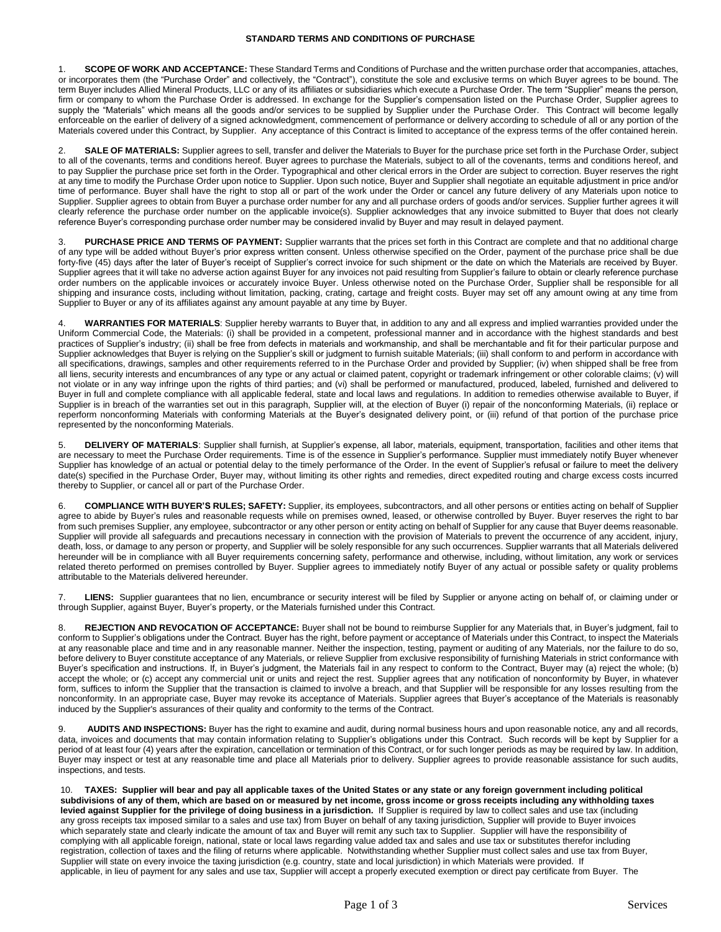1. **SCOPE OF WORK AND ACCEPTANCE:** These Standard Terms and Conditions of Purchase and the written purchase order that accompanies, attaches, or incorporates them (the "Purchase Order" and collectively, the "Contract"), constitute the sole and exclusive terms on which Buyer agrees to be bound. The term Buyer includes Allied Mineral Products, LLC or any of its affiliates or subsidiaries which execute a Purchase Order. The term "Supplier" means the person, firm or company to whom the Purchase Order is addressed. In exchange for the Supplier's compensation listed on the Purchase Order, Supplier agrees to supply the "Materials" which means all the goods and/or services to be supplied by Supplier under the Purchase Order. This Contract will become legally enforceable on the earlier of delivery of a signed acknowledgment, commencement of performance or delivery according to schedule of all or any portion of the Materials covered under this Contract, by Supplier. Any acceptance of this Contract is limited to acceptance of the express terms of the offer contained herein.

2. **SALE OF MATERIALS:** Supplier agrees to sell, transfer and deliver the Materials to Buyer for the purchase price set forth in the Purchase Order, subject to all of the covenants, terms and conditions hereof. Buyer agrees to purchase the Materials, subject to all of the covenants, terms and conditions hereof, and to pay Supplier the purchase price set forth in the Order. Typographical and other clerical errors in the Order are subject to correction. Buyer reserves the right at any time to modify the Purchase Order upon notice to Supplier. Upon such notice, Buyer and Supplier shall negotiate an equitable adjustment in price and/or time of performance. Buyer shall have the right to stop all or part of the work under the Order or cancel any future delivery of any Materials upon notice to Supplier. Supplier agrees to obtain from Buyer a purchase order number for any and all purchase orders of goods and/or services. Supplier further agrees it will clearly reference the purchase order number on the applicable invoice(s). Supplier acknowledges that any invoice submitted to Buyer that does not clearly reference Buyer's corresponding purchase order number may be considered invalid by Buyer and may result in delayed payment.

3. **PURCHASE PRICE AND TERMS OF PAYMENT:** Supplier warrants that the prices set forth in this Contract are complete and that no additional charge of any type will be added without Buyer's prior express written consent. Unless otherwise specified on the Order, payment of the purchase price shall be due forty-five (45) days after the later of Buyer's receipt of Supplier's correct invoice for such shipment or the date on which the Materials are received by Buyer. Supplier agrees that it will take no adverse action against Buyer for any invoices not paid resulting from Supplier's failure to obtain or clearly reference purchase order numbers on the applicable invoices or accurately invoice Buyer. Unless otherwise noted on the Purchase Order, Supplier shall be responsible for all shipping and insurance costs, including without limitation, packing, crating, cartage and freight costs. Buyer may set off any amount owing at any time from Supplier to Buyer or any of its affiliates against any amount payable at any time by Buyer.

4. **WARRANTIES FOR MATERIALS**: Supplier hereby warrants to Buyer that, in addition to any and all express and implied warranties provided under the Uniform Commercial Code, the Materials: (i) shall be provided in a competent, professional manner and in accordance with the highest standards and best practices of Supplier's industry; (ii) shall be free from defects in materials and workmanship, and shall be merchantable and fit for their particular purpose and Supplier acknowledges that Buyer is relying on the Supplier's skill or judgment to furnish suitable Materials; (iii) shall conform to and perform in accordance with all specifications, drawings, samples and other requirements referred to in the Purchase Order and provided by Supplier; (iv) when shipped shall be free from all liens, security interests and encumbrances of any type or any actual or claimed patent, copyright or trademark infringement or other colorable claims; (v) will not violate or in any way infringe upon the rights of third parties; and (vi) shall be performed or manufactured, produced, labeled, furnished and delivered to Buyer in full and complete compliance with all applicable federal, state and local laws and regulations. In addition to remedies otherwise available to Buyer, if Supplier is in breach of the warranties set out in this paragraph, Supplier will, at the election of Buyer (i) repair of the nonconforming Materials, (ii) replace or reperform nonconforming Materials with conforming Materials at the Buyer's designated delivery point, or (iii) refund of that portion of the purchase price represented by the nonconforming Materials.

5. **DELIVERY OF MATERIALS**: Supplier shall furnish, at Supplier's expense, all labor, materials, equipment, transportation, facilities and other items that are necessary to meet the Purchase Order requirements. Time is of the essence in Supplier's performance. Supplier must immediately notify Buyer whenever Supplier has knowledge of an actual or potential delay to the timely performance of the Order. In the event of Supplier's refusal or failure to meet the delivery date(s) specified in the Purchase Order, Buyer may, without limiting its other rights and remedies, direct expedited routing and charge excess costs incurred thereby to Supplier, or cancel all or part of the Purchase Order.

6. **COMPLIANCE WITH BUYER'S RULES; SAFETY:** Supplier, its employees, subcontractors, and all other persons or entities acting on behalf of Supplier agree to abide by Buyer's rules and reasonable requests while on premises owned, leased, or otherwise controlled by Buyer. Buyer reserves the right to bar from such premises Supplier, any employee, subcontractor or any other person or entity acting on behalf of Supplier for any cause that Buyer deems reasonable. Supplier will provide all safeguards and precautions necessary in connection with the provision of Materials to prevent the occurrence of any accident, injury, death, loss, or damage to any person or property, and Supplier will be solely responsible for any such occurrences. Supplier warrants that all Materials delivered hereunder will be in compliance with all Buyer requirements concerning safety, performance and otherwise, including, without limitation, any work or services related thereto performed on premises controlled by Buyer. Supplier agrees to immediately notify Buyer of any actual or possible safety or quality problems attributable to the Materials delivered hereunder.

7. **LIENS:** Supplier guarantees that no lien, encumbrance or security interest will be filed by Supplier or anyone acting on behalf of, or claiming under or through Supplier, against Buyer, Buyer's property, or the Materials furnished under this Contract.

8. **REJECTION AND REVOCATION OF ACCEPTANCE:** Buyer shall not be bound to reimburse Supplier for any Materials that, in Buyer's judgment, fail to conform to Supplier's obligations under the Contract. Buyer has the right, before payment or acceptance of Materials under this Contract, to inspect the Materials at any reasonable place and time and in any reasonable manner. Neither the inspection, testing, payment or auditing of any Materials, nor the failure to do so, before delivery to Buyer constitute acceptance of any Materials, or relieve Supplier from exclusive responsibility of furnishing Materials in strict conformance with Buyer's specification and instructions. If, in Buyer's judgment, the Materials fail in any respect to conform to the Contract, Buyer may (a) reject the whole; (b) accept the whole; or (c) accept any commercial unit or units and reject the rest. Supplier agrees that any notification of nonconformity by Buyer, in whatever form, suffices to inform the Supplier that the transaction is claimed to involve a breach, and that Supplier will be responsible for any losses resulting from the nonconformity. In an appropriate case, Buyer may revoke its acceptance of Materials. Supplier agrees that Buyer's acceptance of the Materials is reasonably induced by the Supplier's assurances of their quality and conformity to the terms of the Contract.

9. **AUDITS AND INSPECTIONS:** Buyer has the right to examine and audit, during normal business hours and upon reasonable notice, any and all records, data, invoices and documents that may contain information relating to Supplier's obligations under this Contract. Such records will be kept by Supplier for a period of at least four (4) years after the expiration, cancellation or termination of this Contract, or for such longer periods as may be required by law. In addition, Buyer may inspect or test at any reasonable time and place all Materials prior to delivery. Supplier agrees to provide reasonable assistance for such audits, inspections, and tests.

10. **TAXES: Supplier will bear and pay all applicable taxes of the United States or any state or any foreign government including political subdivisions of any of them, which are based on or measured by net income, gross income or gross receipts including any withholding taxes levied against Supplier for the privilege of doing business in a jurisdiction.** If Supplier is required by law to collect sales and use tax (including any gross receipts tax imposed similar to a sales and use tax) from Buyer on behalf of any taxing jurisdiction, Supplier will provide to Buyer invoices which separately state and clearly indicate the amount of tax and Buyer will remit any such tax to Supplier. Supplier will have the responsibility of complying with all applicable foreign, national, state or local laws regarding value added tax and sales and use tax or substitutes therefor including registration, collection of taxes and the filing of returns where applicable. Notwithstanding whether Supplier must collect sales and use tax from Buyer, Supplier will state on every invoice the taxing jurisdiction (e.g. country, state and local jurisdiction) in which Materials were provided. If applicable, in lieu of payment for any sales and use tax, Supplier will accept a properly executed exemption or direct pay certificate from Buyer. The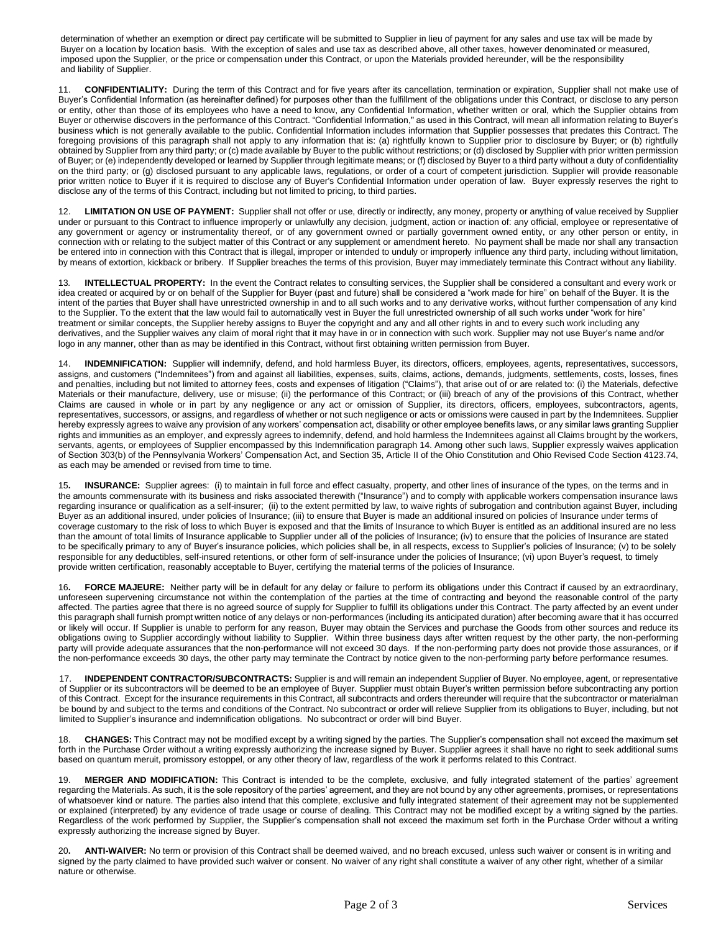determination of whether an exemption or direct pay certificate will be submitted to Supplier in lieu of payment for any sales and use tax will be made by Buyer on a location by location basis. With the exception of sales and use tax as described above, all other taxes, however denominated or measured, imposed upon the Supplier, or the price or compensation under this Contract, or upon the Materials provided hereunder, will be the responsibility and liability of Supplier.

11. **CONFIDENTIALITY:** During the term of this Contract and for five years after its cancellation, termination or expiration, Supplier shall not make use of Buyer's Confidential Information (as hereinafter defined) for purposes other than the fulfillment of the obligations under this Contract, or disclose to any person or entity, other than those of its employees who have a need to know, any Confidential Information, whether written or oral, which the Supplier obtains from Buyer or otherwise discovers in the performance of this Contract. "Confidential Information," as used in this Contract, will mean all information relating to Buyer's business which is not generally available to the public. Confidential Information includes information that Supplier possesses that predates this Contract. The foregoing provisions of this paragraph shall not apply to any information that is: (a) rightfully known to Supplier prior to disclosure by Buyer; or (b) rightfully obtained by Supplier from any third party; or (c) made available by Buyer to the public without restrictions; or (d) disclosed by Supplier with prior written permission of Buyer; or (e) independently developed or learned by Supplier through legitimate means; or (f) disclosed by Buyer to a third party without a duty of confidentiality on the third party; or (g) disclosed pursuant to any applicable laws, regulations, or order of a court of competent jurisdiction. Supplier will provide reasonable prior written notice to Buyer if it is required to disclose any of Buyer's Confidential Information under operation of law. Buyer expressly reserves the right to disclose any of the terms of this Contract, including but not limited to pricing, to third parties.

12. **LIMITATION ON USE OF PAYMENT:** Supplier shall not offer or use, directly or indirectly, any money, property or anything of value received by Supplier under or pursuant to this Contract to influence improperly or unlawfully any decision, judgment, action or inaction of: any official, employee or representative of any government or agency or instrumentality thereof, or of any government owned or partially government owned entity, or any other person or entity, in connection with or relating to the subject matter of this Contract or any supplement or amendment hereto. No payment shall be made nor shall any transaction be entered into in connection with this Contract that is illegal, improper or intended to unduly or improperly influence any third party, including without limitation, by means of extortion, kickback or bribery. If Supplier breaches the terms of this provision, Buyer may immediately terminate this Contract without any liability.

13*.* **INTELLECTUAL PROPERTY:** In the event the Contract relates to consulting services, the Supplier shall be considered a consultant and every work or idea created or acquired by or on behalf of the Supplier for Buyer (past and future) shall be considered a "work made for hire" on behalf of the Buyer. It is the intent of the parties that Buyer shall have unrestricted ownership in and to all such works and to any derivative works, without further compensation of any kind to the Supplier. To the extent that the law would fail to automatically vest in Buyer the full unrestricted ownership of all such works under "work for hire" treatment or similar concepts, the Supplier hereby assigns to Buyer the copyright and any and all other rights in and to every such work including any derivatives, and the Supplier waives any claim of moral right that it may have in or in connection with such work. Supplier may not use Buyer's name and/or logo in any manner, other than as may be identified in this Contract, without first obtaining written permission from Buyer.

14. **INDEMNIFICATION:** Supplier will indemnify, defend, and hold harmless Buyer, its directors, officers, employees, agents, representatives, successors, assigns, and customers ("Indemnitees") from and against all liabilities, expenses, suits, claims, actions, demands, judgments, settlements, costs, losses, fines and penalties, including but not limited to attorney fees, costs and expenses of litigation ("Claims"), that arise out of or are related to: (i) the Materials, defective Materials or their manufacture, delivery, use or misuse; (ii) the performance of this Contract; or (iii) breach of any of the provisions of this Contract, whether Claims are caused in whole or in part by any negligence or any act or omission of Supplier, its directors, officers, employees, subcontractors, agents, representatives, successors, or assigns, and regardless of whether or not such negligence or acts or omissions were caused in part by the Indemnitees. Supplier hereby expressly agrees to waive any provision of any workers' compensation act, disability or other employee benefits laws, or any similar laws granting Supplier rights and immunities as an employer, and expressly agrees to indemnify, defend, and hold harmless the Indemnitees against all Claims brought by the workers, servants, agents, or employees of Supplier encompassed by this Indemnification paragraph 14. Among other such laws, Supplier expressly waives application of Section 303(b) of the Pennsylvania Workers' Compensation Act, and Section 35, Article II of the Ohio Constitution and Ohio Revised Code Section 4123.74, as each may be amended or revised from time to time.

15**. INSURANCE:** Supplier agrees: (i) to maintain in full force and effect casualty, property, and other lines of insurance of the types, on the terms and in the amounts commensurate with its business and risks associated therewith ("Insurance") and to comply with applicable workers compensation insurance laws regarding insurance or qualification as a self-insurer; (ii) to the extent permitted by law, to waive rights of subrogation and contribution against Buyer, including Buyer as an additional insured, under policies of Insurance; (iii) to ensure that Buyer is made an additional insured on policies of Insurance under terms of coverage customary to the risk of loss to which Buyer is exposed and that the limits of Insurance to which Buyer is entitled as an additional insured are no less than the amount of total limits of Insurance applicable to Supplier under all of the policies of Insurance; (iv) to ensure that the policies of Insurance are stated to be specifically primary to any of Buyer's insurance policies, which policies shall be, in all respects, excess to Supplier's policies of Insurance; (v) to be solely responsible for any deductibles, self-insured retentions, or other form of self-insurance under the policies of Insurance; (vi) upon Buyer's request, to timely provide written certification, reasonably acceptable to Buyer, certifying the material terms of the policies of Insurance.

16**. FORCE MAJEURE:** Neither party will be in default for any delay or failure to perform its obligations under this Contract if caused by an extraordinary, unforeseen supervening circumstance not within the contemplation of the parties at the time of contracting and beyond the reasonable control of the party affected. The parties agree that there is no agreed source of supply for Supplier to fulfill its obligations under this Contract. The party affected by an event under this paragraph shall furnish prompt written notice of any delays or non-performances (including its anticipated duration) after becoming aware that it has occurred or likely will occur. If Supplier is unable to perform for any reason, Buyer may obtain the Services and purchase the Goods from other sources and reduce its obligations owing to Supplier accordingly without liability to Supplier. Within three business days after written request by the other party, the non-performing party will provide adequate assurances that the non-performance will not exceed 30 days. If the non-performing party does not provide those assurances, or if the non-performance exceeds 30 days, the other party may terminate the Contract by notice given to the non-performing party before performance resumes.

17. **INDEPENDENT CONTRACTOR/SUBCONTRACTS:** Supplier is and will remain an independent Supplier of Buyer. No employee, agent, or representative of Supplier or its subcontractors will be deemed to be an employee of Buyer. Supplier must obtain Buyer's written permission before subcontracting any portion of this Contract. Except for the insurance requirements in this Contract, all subcontracts and orders thereunder will require that the subcontractor or materialman be bound by and subject to the terms and conditions of the Contract. No subcontract or order will relieve Supplier from its obligations to Buyer, including, but not limited to Supplier's insurance and indemnification obligations. No subcontract or order will bind Buyer.

18. **CHANGES:** This Contract may not be modified except by a writing signed by the parties. The Supplier's compensation shall not exceed the maximum set forth in the Purchase Order without a writing expressly authorizing the increase signed by Buyer. Supplier agrees it shall have no right to seek additional sums based on quantum meruit, promissory estoppel, or any other theory of law, regardless of the work it performs related to this Contract.

19. **MERGER AND MODIFICATION:** This Contract is intended to be the complete, exclusive, and fully integrated statement of the parties' agreement regarding the Materials. As such, it is the sole repository of the parties' agreement, and they are not bound by any other agreements, promises, or representations of whatsoever kind or nature. The parties also intend that this complete, exclusive and fully integrated statement of their agreement may not be supplemented or explained (interpreted) by any evidence of trade usage or course of dealing. This Contract may not be modified except by a writing signed by the parties. Regardless of the work performed by Supplier, the Supplier's compensation shall not exceed the maximum set forth in the Purchase Order without a writing expressly authorizing the increase signed by Buyer.

20**. ANTI-WAIVER:** No term or provision of this Contract shall be deemed waived, and no breach excused, unless such waiver or consent is in writing and signed by the party claimed to have provided such waiver or consent. No waiver of any right shall constitute a waiver of any other right, whether of a similar nature or otherwise.